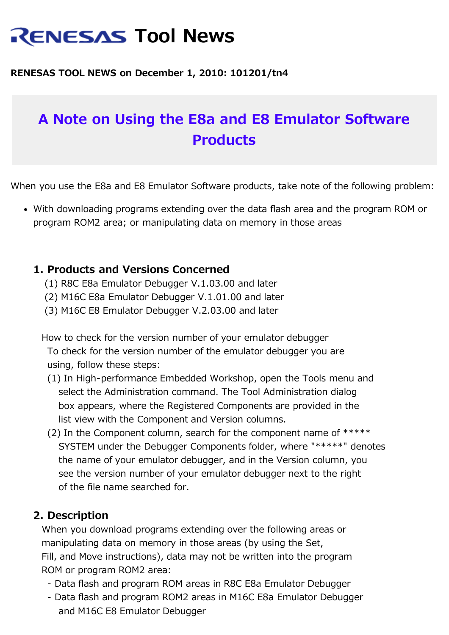# **RENESAS Tool News**

#### **RENESAS TOOL NEWS on December 1, 2010: 101201/tn4**

## **A Note on Using the E8a and E8 Emulator Software Products**

When you use the E8a and E8 Emulator Software products, take note of the following problem:

With downloading programs extending over the data flash area and the program ROM or program ROM2 area; or manipulating data on memory in those areas

#### **1. Products and Versions Concerned**

- (1) R8C E8a Emulator Debugger V.1.03.00 and later
- (2) M16C E8a Emulator Debugger V.1.01.00 and later
- (3) M16C E8 Emulator Debugger V.2.03.00 and later

 How to check for the version number of your emulator debugger To check for the version number of the emulator debugger you are using, follow these steps:

- (1) In High-performance Embedded Workshop, open the Tools menu and select the Administration command. The Tool Administration dialog box appears, where the Registered Components are provided in the list view with the Component and Version columns.
- (2) In the Component column, search for the component name of  $*****$  SYSTEM under the Debugger Components folder, where "\*\*\*\*\*" denotes the name of your emulator debugger, and in the Version column, you see the version number of your emulator debugger next to the right of the file name searched for.

#### **2. Description**

 When you download programs extending over the following areas or manipulating data on memory in those areas (by using the Set, Fill, and Move instructions), data may not be written into the program ROM or program ROM2 area:

- Data flash and program ROM areas in R8C E8a Emulator Debugger
- Data flash and program ROM2 areas in M16C E8a Emulator Debugger and M16C E8 Emulator Debugger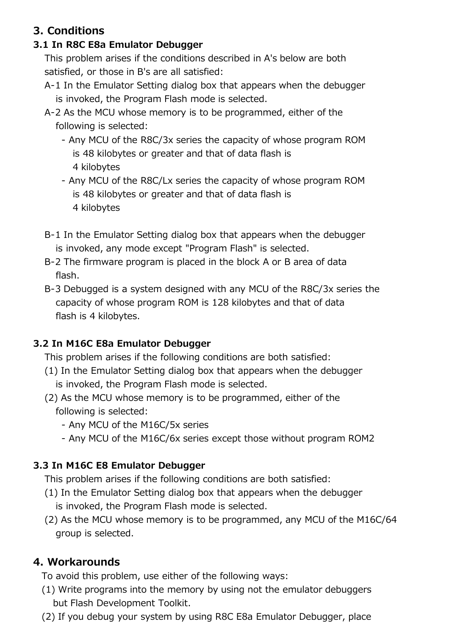## **3. Conditions**

## **3.1 In R8C E8a Emulator Debugger**

 This problem arises if the conditions described in A's below are both satisfied, or those in B's are all satisfied:

- A-1 In the Emulator Setting dialog box that appears when the debugger is invoked, the Program Flash mode is selected.
- A-2 As the MCU whose memory is to be programmed, either of the following is selected:
	- Any MCU of the R8C/3x series the capacity of whose program ROM is 48 kilobytes or greater and that of data flash is 4 kilobytes
	- Any MCU of the R8C/Lx series the capacity of whose program ROM is 48 kilobytes or greater and that of data flash is 4 kilobytes
- B-1 In the Emulator Setting dialog box that appears when the debugger is invoked, any mode except "Program Flash" is selected.
- B-2 The firmware program is placed in the block A or B area of data flash.
- B-3 Debugged is a system designed with any MCU of the R8C/3x series the capacity of whose program ROM is 128 kilobytes and that of data flash is 4 kilobytes.

## **3.2 In M16C E8a Emulator Debugger**

This problem arises if the following conditions are both satisfied:

- (1) In the Emulator Setting dialog box that appears when the debugger is invoked, the Program Flash mode is selected.
- (2) As the MCU whose memory is to be programmed, either of the following is selected:
	- Any MCU of the M16C/5x series
	- Any MCU of the M16C/6x series except those without program ROM2

## **3.3 In M16C E8 Emulator Debugger**

This problem arises if the following conditions are both satisfied:

- (1) In the Emulator Setting dialog box that appears when the debugger is invoked, the Program Flash mode is selected.
- (2) As the MCU whose memory is to be programmed, any MCU of the M16C/64 group is selected.

## **4. Workarounds**

To avoid this problem, use either of the following ways:

- (1) Write programs into the memory by using not the emulator debuggers but Flash Development Toolkit.
- (2) If you debug your system by using R8C E8a Emulator Debugger, place